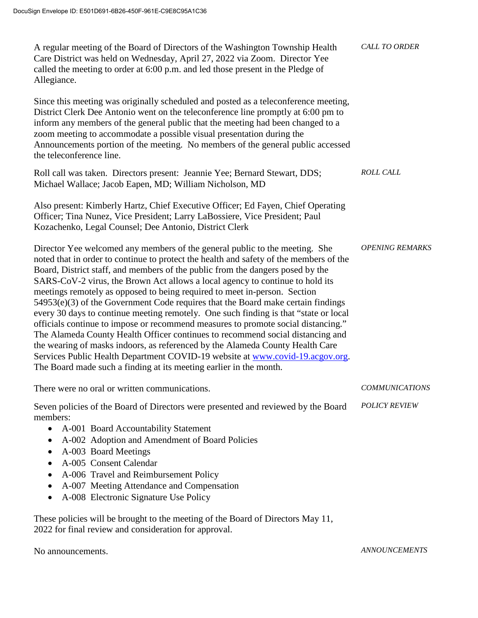| A regular meeting of the Board of Directors of the Washington Township Health<br>Care District was held on Wednesday, April 27, 2022 via Zoom. Director Yee<br>called the meeting to order at 6:00 p.m. and led those present in the Pledge of<br>Allegiance.                                                                                                                                                                                                                                                                                                                                                                                                                                                                                                                                                                                                                                                                                                                                                    | <b>CALL TO ORDER</b>   |
|------------------------------------------------------------------------------------------------------------------------------------------------------------------------------------------------------------------------------------------------------------------------------------------------------------------------------------------------------------------------------------------------------------------------------------------------------------------------------------------------------------------------------------------------------------------------------------------------------------------------------------------------------------------------------------------------------------------------------------------------------------------------------------------------------------------------------------------------------------------------------------------------------------------------------------------------------------------------------------------------------------------|------------------------|
| Since this meeting was originally scheduled and posted as a teleconference meeting,<br>District Clerk Dee Antonio went on the teleconference line promptly at 6:00 pm to<br>inform any members of the general public that the meeting had been changed to a<br>zoom meeting to accommodate a possible visual presentation during the<br>Announcements portion of the meeting. No members of the general public accessed<br>the teleconference line.                                                                                                                                                                                                                                                                                                                                                                                                                                                                                                                                                              |                        |
| Roll call was taken. Directors present: Jeannie Yee; Bernard Stewart, DDS;<br>Michael Wallace; Jacob Eapen, MD; William Nicholson, MD                                                                                                                                                                                                                                                                                                                                                                                                                                                                                                                                                                                                                                                                                                                                                                                                                                                                            | <b>ROLL CALL</b>       |
| Also present: Kimberly Hartz, Chief Executive Officer; Ed Fayen, Chief Operating<br>Officer; Tina Nunez, Vice President; Larry LaBossiere, Vice President; Paul<br>Kozachenko, Legal Counsel; Dee Antonio, District Clerk                                                                                                                                                                                                                                                                                                                                                                                                                                                                                                                                                                                                                                                                                                                                                                                        |                        |
| Director Yee welcomed any members of the general public to the meeting. She<br>noted that in order to continue to protect the health and safety of the members of the<br>Board, District staff, and members of the public from the dangers posed by the<br>SARS-CoV-2 virus, the Brown Act allows a local agency to continue to hold its<br>meetings remotely as opposed to being required to meet in-person. Section<br>54953(e)(3) of the Government Code requires that the Board make certain findings<br>every 30 days to continue meeting remotely. One such finding is that "state or local<br>officials continue to impose or recommend measures to promote social distancing."<br>The Alameda County Health Officer continues to recommend social distancing and<br>the wearing of masks indoors, as referenced by the Alameda County Health Care<br>Services Public Health Department COVID-19 website at www.covid-19.acgov.org.<br>The Board made such a finding at its meeting earlier in the month. | <b>OPENING REMARKS</b> |
| There were no oral or written communications.                                                                                                                                                                                                                                                                                                                                                                                                                                                                                                                                                                                                                                                                                                                                                                                                                                                                                                                                                                    | <b>COMMUNICATIONS</b>  |
| Seven policies of the Board of Directors were presented and reviewed by the Board<br>members:<br>A-001 Board Accountability Statement<br>$\bullet$<br>A-002 Adoption and Amendment of Board Policies<br>٠<br>A-003 Board Meetings<br>$\bullet$<br>A-005 Consent Calendar<br>$\bullet$<br>A-006 Travel and Reimbursement Policy<br>٠<br>A-007 Meeting Attendance and Compensation<br>٠<br>A-008 Electronic Signature Use Policy<br>$\bullet$                                                                                                                                                                                                                                                                                                                                                                                                                                                                                                                                                                      | <b>POLICY REVIEW</b>   |
| These policies will be brought to the meeting of the Board of Directors May 11,<br>2022 for final review and consideration for approval.                                                                                                                                                                                                                                                                                                                                                                                                                                                                                                                                                                                                                                                                                                                                                                                                                                                                         |                        |